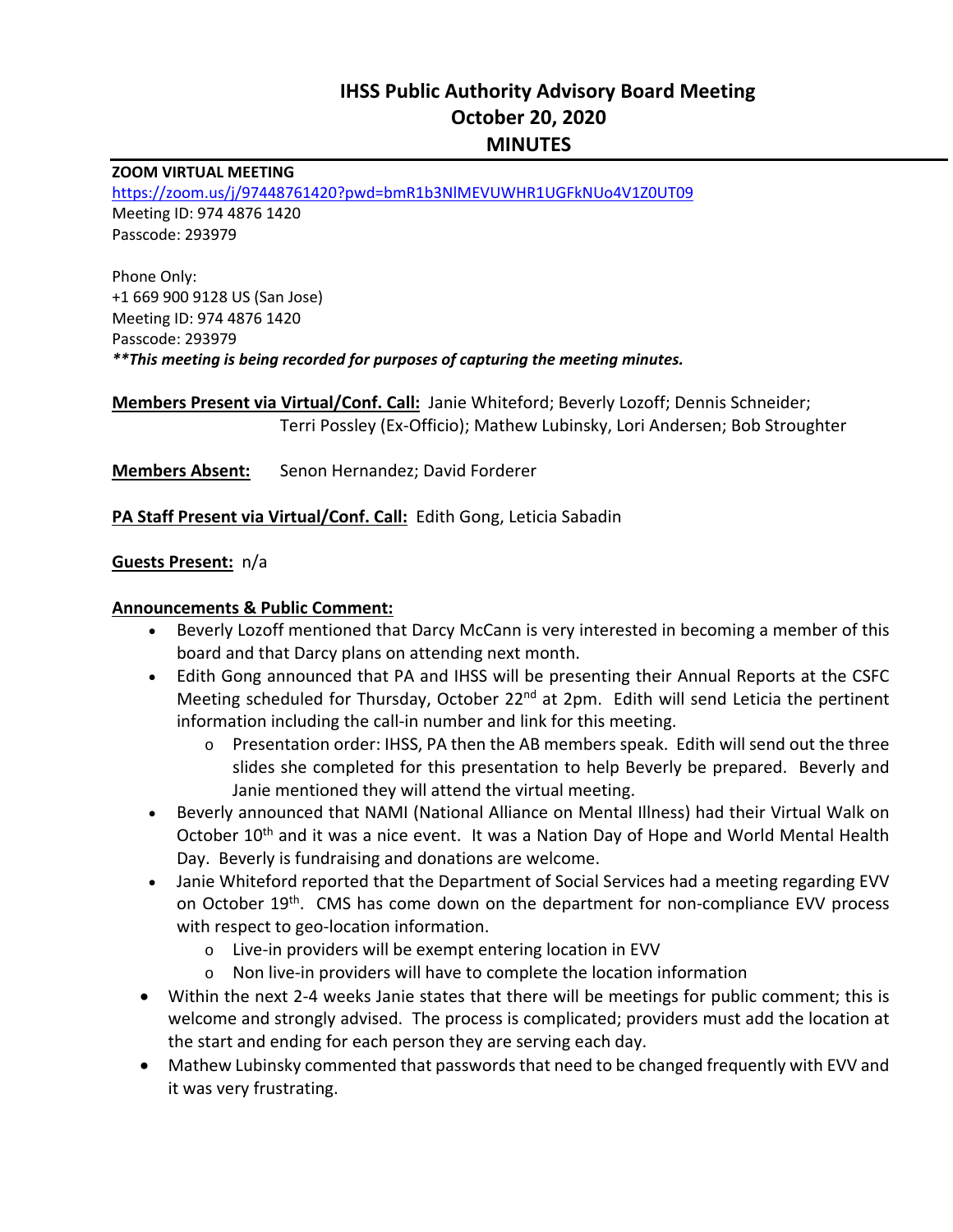# **IHSS Public Authority Advisory Board Meeting October 20, 2020 MINUTES**

#### **ZOOM VIRTUAL MEETING**

https://zoom.us/j/97448761420?pwd=bmR1b3NlMEVUWHR1UGFkNUo4V1Z0UT09

Meeting ID: 974 4876 1420 Passcode: 293979

Phone Only: +1 669 900 9128 US (San Jose) Meeting ID: 974 4876 1420 Passcode: 293979 *\*\*This meeting is being recorded for purposes of capturing the meeting minutes.* 

**Members Present via Virtual/Conf. Call:** Janie Whiteford; Beverly Lozoff; Dennis Schneider;  Terri Possley (Ex‐Officio); Mathew Lubinsky, Lori Andersen; Bob Stroughter

**Members Absent:**  Senon Hernandez; David Forderer

#### **PA Staff Present via Virtual/Conf. Call:** Edith Gong, Leticia Sabadin

#### **Guests Present:** n/a

#### **Announcements & Public Comment:**

- Beverly Lozoff mentioned that Darcy McCann is very interested in becoming a member of this board and that Darcy plans on attending next month.
- Edith Gong announced that PA and IHSS will be presenting their Annual Reports at the CSFC Meeting scheduled for Thursday, October 22<sup>nd</sup> at 2pm. Edith will send Leticia the pertinent information including the call‐in number and link for this meeting.
	- o Presentation order: IHSS, PA then the AB members speak. Edith will send out the three slides she completed for this presentation to help Beverly be prepared. Beverly and Janie mentioned they will attend the virtual meeting.
- Beverly announced that NAMI (National Alliance on Mental Illness) had their Virtual Walk on October 10<sup>th</sup> and it was a nice event. It was a Nation Day of Hope and World Mental Health Day. Beverly is fundraising and donations are welcome.
- Janie Whiteford reported that the Department of Social Services had a meeting regarding EVV on October 19<sup>th</sup>. CMS has come down on the department for non-compliance EVV process with respect to geo-location information.
	- o Live‐in providers will be exempt entering location in EVV
	- o Non live‐in providers will have to complete the location information
- Within the next 2-4 weeks Janie states that there will be meetings for public comment; this is welcome and strongly advised. The process is complicated; providers must add the location at the start and ending for each person they are serving each day.
- Mathew Lubinsky commented that passwords that need to be changed frequently with EVV and it was very frustrating.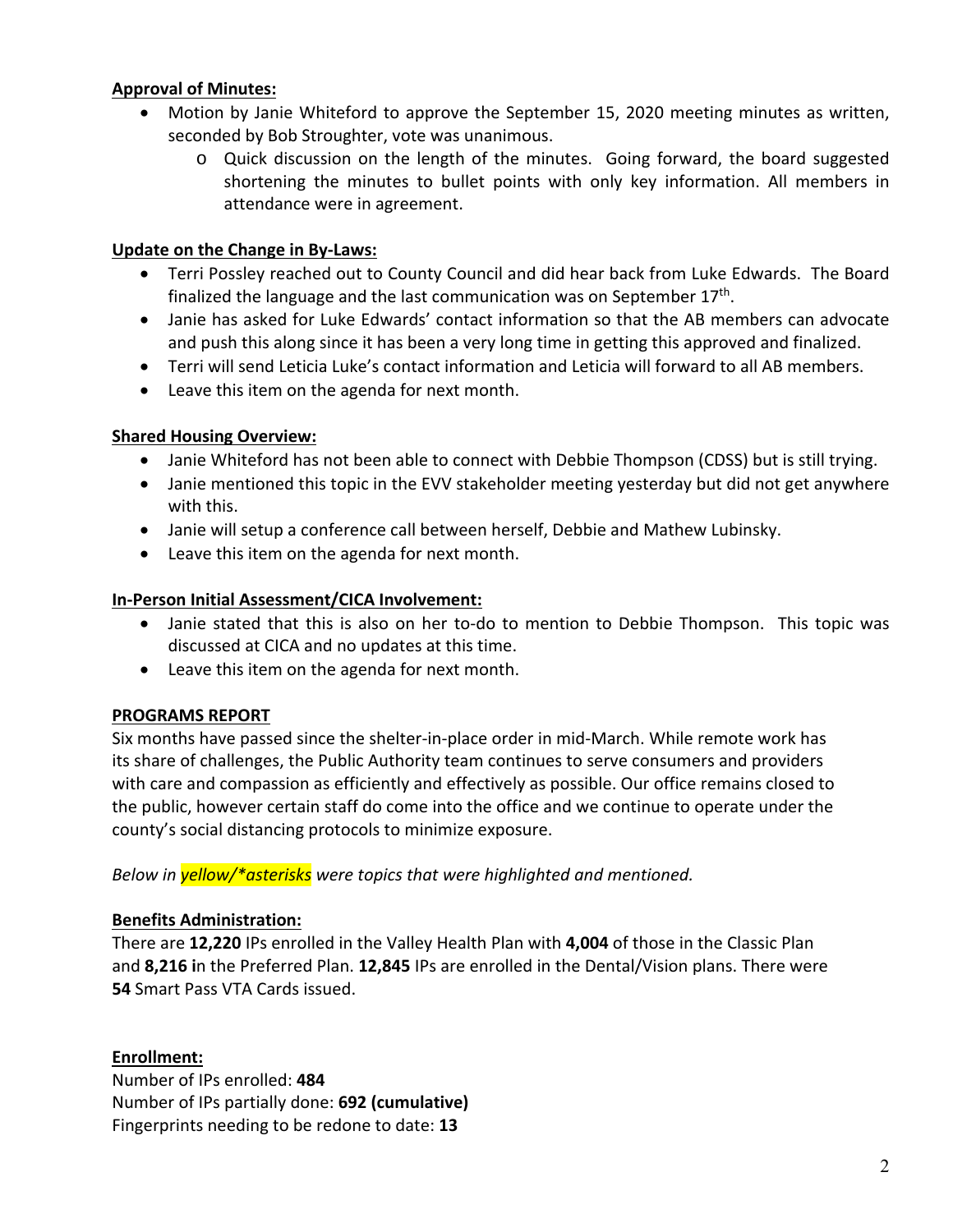#### **Approval of Minutes:**

- Motion by Janie Whiteford to approve the September 15, 2020 meeting minutes as written, seconded by Bob Stroughter, vote was unanimous.
	- $\circ$  Quick discussion on the length of the minutes. Going forward, the board suggested shortening the minutes to bullet points with only key information. All members in attendance were in agreement.

## **Update on the Change in By‐Laws:**

- Terri Possley reached out to County Council and did hear back from Luke Edwards. The Board finalized the language and the last communication was on September  $17<sup>th</sup>$ .
- Janie has asked for Luke Edwards' contact information so that the AB members can advocate and push this along since it has been a very long time in getting this approved and finalized.
- Terri will send Leticia Luke's contact information and Leticia will forward to all AB members.
- Leave this item on the agenda for next month.

## **Shared Housing Overview:**

- Janie Whiteford has not been able to connect with Debbie Thompson (CDSS) but is still trying.
- Janie mentioned this topic in the EVV stakeholder meeting yesterday but did not get anywhere with this.
- Janie will setup a conference call between herself, Debbie and Mathew Lubinsky.
- Leave this item on the agenda for next month.

#### **In‐Person Initial Assessment/CICA Involvement:**

- Janie stated that this is also on her to-do to mention to Debbie Thompson. This topic was discussed at CICA and no updates at this time.
- Leave this item on the agenda for next month.

## **PROGRAMS REPORT**

Six months have passed since the shelter‐in‐place order in mid‐March. While remote work has its share of challenges, the Public Authority team continues to serve consumers and providers with care and compassion as efficiently and effectively as possible. Our office remains closed to the public, however certain staff do come into the office and we continue to operate under the county's social distancing protocols to minimize exposure.

*Below in yellow/\*asterisks were topics that were highlighted and mentioned.* 

## **Benefits Administration:**

There are **12,220** IPs enrolled in the Valley Health Plan with **4,004** of those in the Classic Plan and **8,216 i**n the Preferred Plan. **12,845** IPs are enrolled in the Dental/Vision plans. There were **54** Smart Pass VTA Cards issued.

## **Enrollment:**

Number of IPs enrolled: **484**  Number of IPs partially done: **692 (cumulative)**  Fingerprints needing to be redone to date: **13**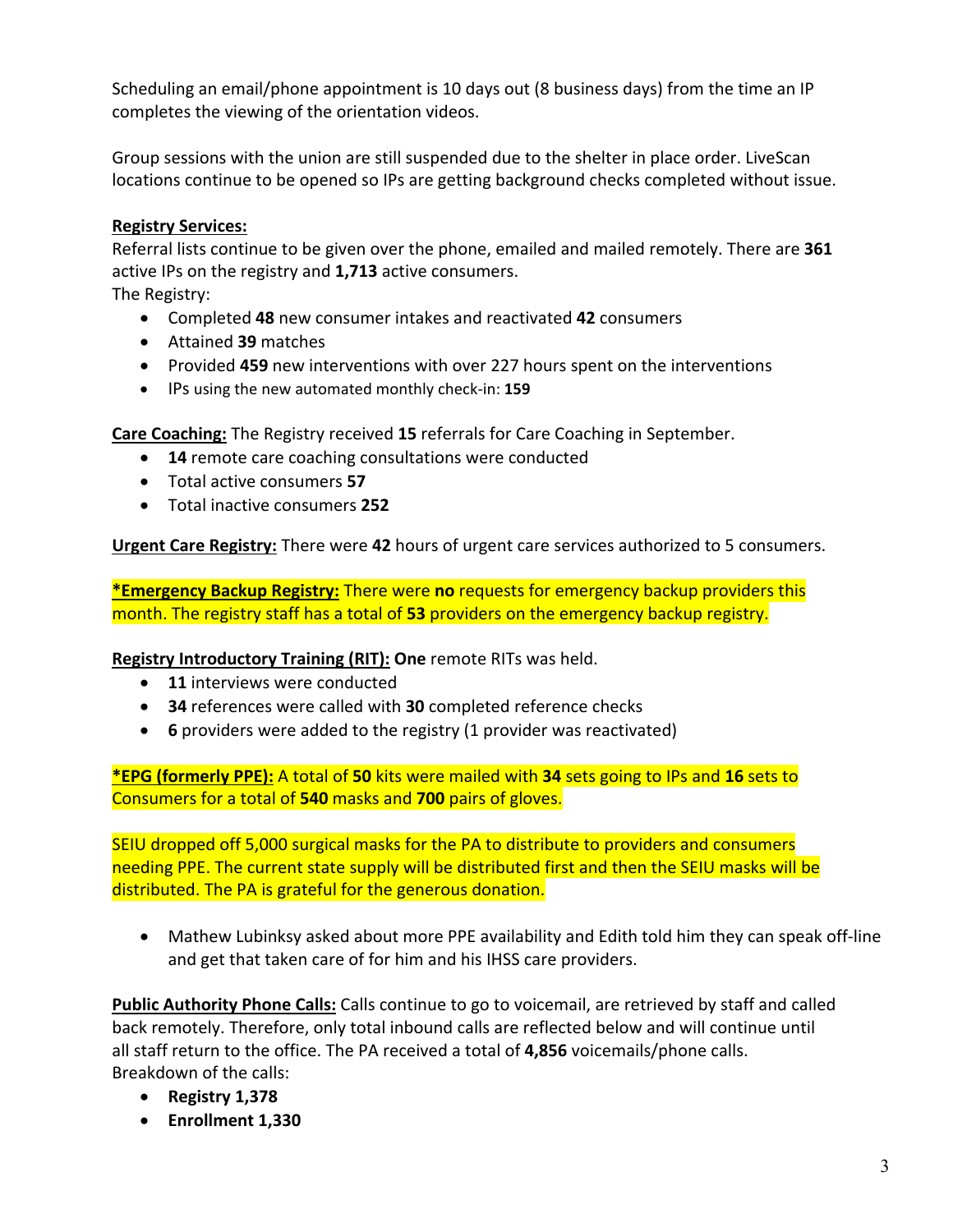Scheduling an email/phone appointment is 10 days out (8 business days) from the time an IP completes the viewing of the orientation videos.

Group sessions with the union are still suspended due to the shelter in place order. LiveScan locations continue to be opened so IPs are getting background checks completed without issue.

## **Registry Services:**

Referral lists continue to be given over the phone, emailed and mailed remotely. There are **361**  active IPs on the registry and **1,713** active consumers. The Registry:

- Completed **48** new consumer intakes and reactivated **42** consumers
- Attained **39** matches
- Provided **459** new interventions with over 227 hours spent on the interventions
- IPs using the new automated monthly check‐in: **159**

**Care Coaching:** The Registry received **15** referrals for Care Coaching in September.

- **14** remote care coaching consultations were conducted
- Total active consumers **57**
- Total inactive consumers **252**

**Urgent Care Registry:** There were **42** hours of urgent care services authorized to 5 consumers.

**\*Emergency Backup Registry:** There were **no** requests for emergency backup providers this month. The registry staff has a total of **53** providers on the emergency backup registry.

**Registry Introductory Training (RIT): One** remote RITs was held.

- **11** interviews were conducted
- **34** references were called with **30** completed reference checks
- **6** providers were added to the registry (1 provider was reactivated)

**\*EPG (formerly PPE):** A total of **50** kits were mailed with **34** sets going to IPs and **16** sets to Consumers for a total of **540** masks and **700** pairs of gloves.

SEIU dropped off 5,000 surgical masks for the PA to distribute to providers and consumers needing PPE. The current state supply will be distributed first and then the SEIU masks will be distributed. The PA is grateful for the generous donation.

● Mathew Lubinksy asked about more PPE availability and Edith told him they can speak off-line and get that taken care of for him and his IHSS care providers.

**Public Authority Phone Calls:** Calls continue to go to voicemail, are retrieved by staff and called back remotely. Therefore, only total inbound calls are reflected below and will continue until all staff return to the office. The PA received a total of **4,856** voicemails/phone calls. Breakdown of the calls:

- **Registry 1,378**
- **Enrollment 1,330**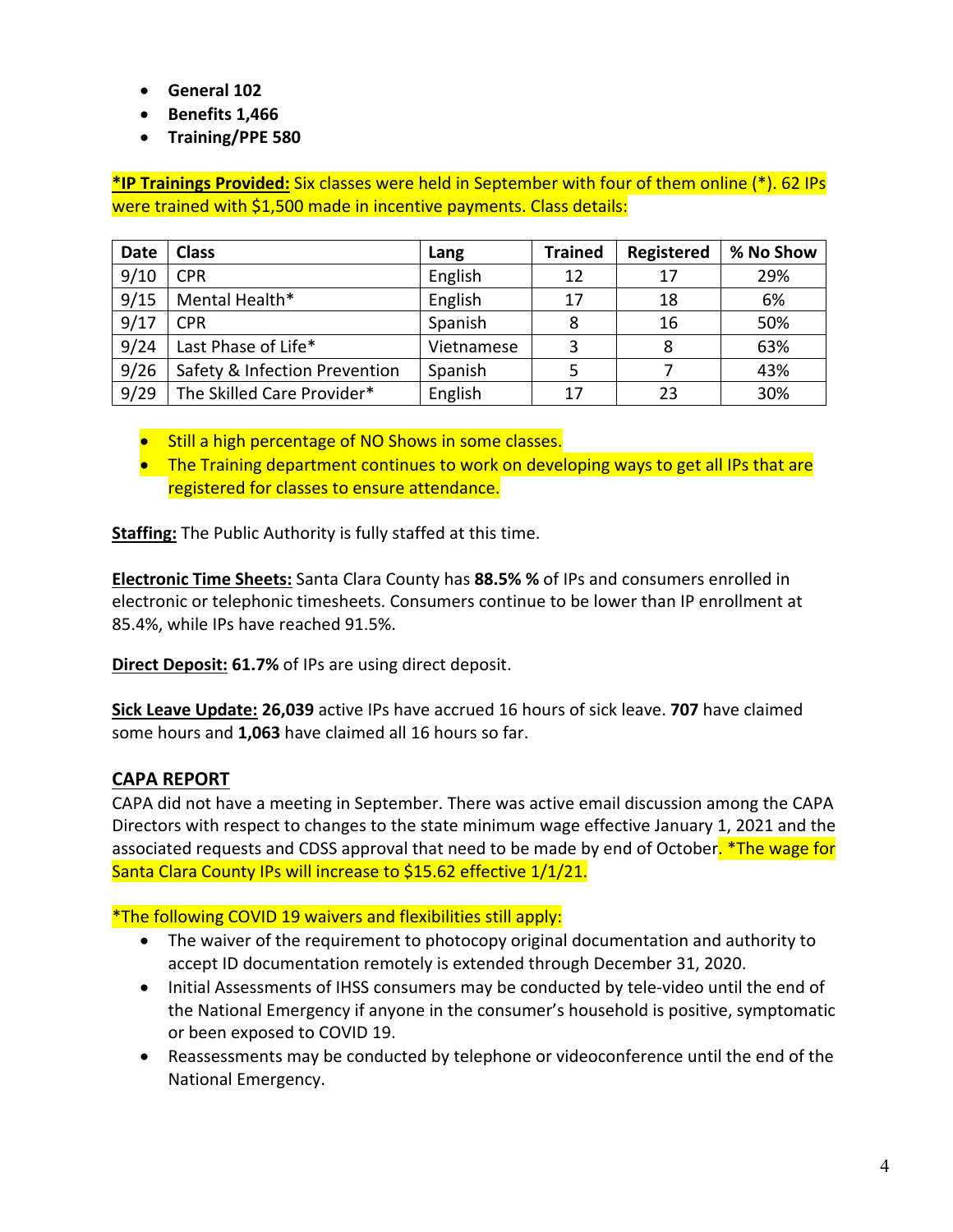- **General 102**
- **Benefits 1,466**
- **Training/PPE 580**

**\*IP Trainings Provided:** Six classes were held in September with four of them online (\*). 62 IPs were trained with \$1,500 made in incentive payments. Class details:

| <b>Date</b> | <b>Class</b>                  | Lang       | <b>Trained</b> | Registered | % No Show |
|-------------|-------------------------------|------------|----------------|------------|-----------|
| 9/10        | <b>CPR</b>                    | English    | 12             | 17         | 29%       |
| 9/15        | Mental Health*                | English    | 17             | 18         | 6%        |
| 9/17        | <b>CPR</b>                    | Spanish    | 8              | 16         | 50%       |
| 9/24        | Last Phase of Life*           | Vietnamese | 3              | 8          | 63%       |
| 9/26        | Safety & Infection Prevention | Spanish    | 5              |            | 43%       |
| 9/29        | The Skilled Care Provider*    | English    | 17             | 23         | 30%       |

- **•** Still a high percentage of NO Shows in some classes.
- The Training department continues to work on developing ways to get all IPs that are registered for classes to ensure attendance.

**Staffing:** The Public Authority is fully staffed at this time.

**Electronic Time Sheets:** Santa Clara County has **88.5% %** of IPs and consumers enrolled in electronic or telephonic timesheets. Consumers continue to be lower than IP enrollment at 85.4%, while IPs have reached 91.5%.

**Direct Deposit: 61.7%** of IPs are using direct deposit.

**Sick Leave Update: 26,039** active IPs have accrued 16 hours of sick leave. **707** have claimed some hours and **1,063** have claimed all 16 hours so far.

## **CAPA REPORT**

CAPA did not have a meeting in September. There was active email discussion among the CAPA Directors with respect to changes to the state minimum wage effective January 1, 2021 and the associated requests and CDSS approval that need to be made by end of October. \*The wage for Santa Clara County IPs will increase to \$15.62 effective 1/1/21.

## \*The following COVID 19 waivers and flexibilities still apply:

- The waiver of the requirement to photocopy original documentation and authority to accept ID documentation remotely is extended through December 31, 2020.
- Initial Assessments of IHSS consumers may be conducted by tele-video until the end of the National Emergency if anyone in the consumer's household is positive, symptomatic or been exposed to COVID 19.
- Reassessments may be conducted by telephone or videoconference until the end of the National Emergency.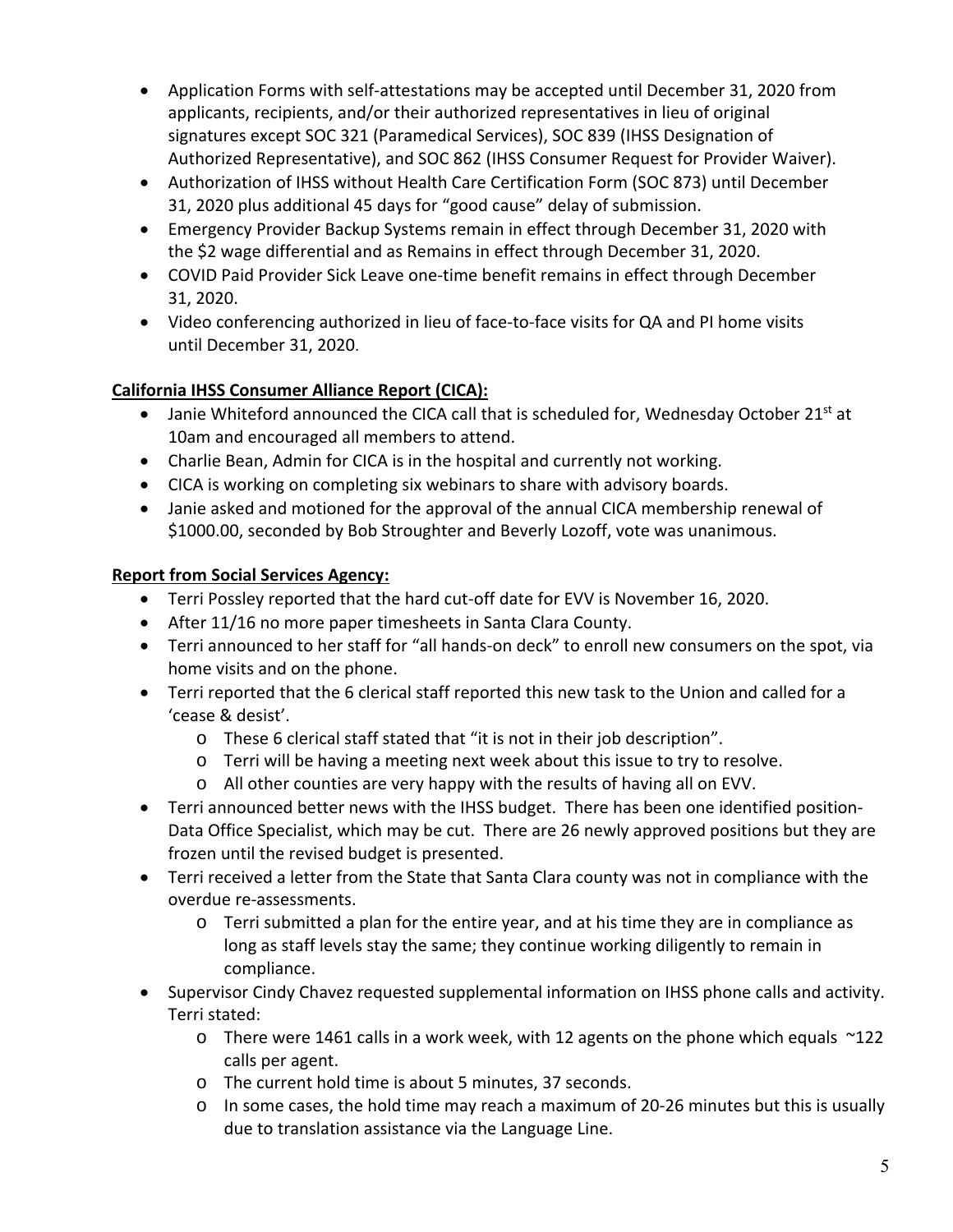- Application Forms with self-attestations may be accepted until December 31, 2020 from applicants, recipients, and/or their authorized representatives in lieu of original signatures except SOC 321 (Paramedical Services), SOC 839 (IHSS Designation of Authorized Representative), and SOC 862 (IHSS Consumer Request for Provider Waiver).
- Authorization of IHSS without Health Care Certification Form (SOC 873) until December 31, 2020 plus additional 45 days for "good cause" delay of submission.
- Emergency Provider Backup Systems remain in effect through December 31, 2020 with the \$2 wage differential and as Remains in effect through December 31, 2020.
- COVID Paid Provider Sick Leave one-time benefit remains in effect through December 31, 2020.
- Video conferencing authorized in lieu of face-to-face visits for QA and PI home visits until December 31, 2020.

## **California IHSS Consumer Alliance Report (CICA):**

- $\bullet$  Janie Whiteford announced the CICA call that is scheduled for, Wednesday October 21st at 10am and encouraged all members to attend.
- Charlie Bean, Admin for CICA is in the hospital and currently not working.
- CICA is working on completing six webinars to share with advisory boards.
- Janie asked and motioned for the approval of the annual CICA membership renewal of \$1000.00, seconded by Bob Stroughter and Beverly Lozoff, vote was unanimous.

## **Report from Social Services Agency:**

- Terri Possley reported that the hard cut‐off date for EVV is November 16, 2020.
- After 11/16 no more paper timesheets in Santa Clara County.
- Terri announced to her staff for "all hands-on deck" to enroll new consumers on the spot, via home visits and on the phone.
- Terri reported that the 6 clerical staff reported this new task to the Union and called for a 'cease & desist'.
	- o These 6 clerical staff stated that "it is not in their job description".
	- o Terri will be having a meeting next week about this issue to try to resolve.
	- o All other counties are very happy with the results of having all on EVV.
- Terri announced better news with the IHSS budget. There has been one identified position-Data Office Specialist, which may be cut. There are 26 newly approved positions but they are frozen until the revised budget is presented.
- Terri received a letter from the State that Santa Clara county was not in compliance with the overdue re‐assessments.
	- $\circ$  Terri submitted a plan for the entire year, and at his time they are in compliance as long as staff levels stay the same; they continue working diligently to remain in compliance.
- Supervisor Cindy Chavez requested supplemental information on IHSS phone calls and activity. Terri stated:
	- $\circ$  There were 1461 calls in a work week, with 12 agents on the phone which equals  $\sim$ 122 calls per agent.
	- o The current hold time is about 5 minutes, 37 seconds.
	- $\circ$  In some cases, the hold time may reach a maximum of 20-26 minutes but this is usually due to translation assistance via the Language Line.